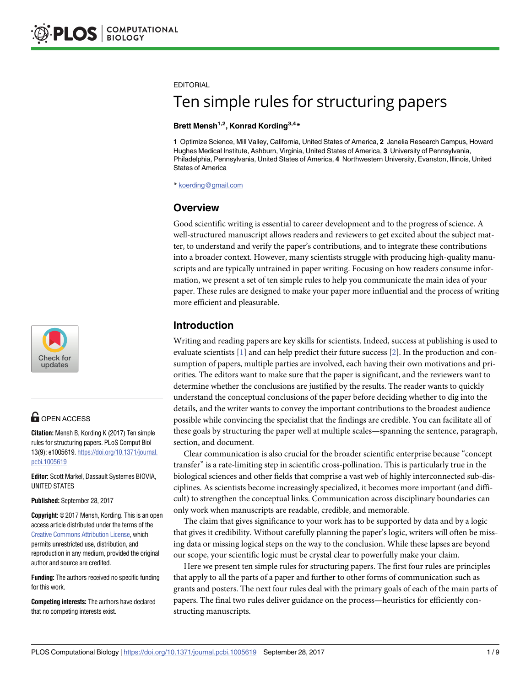<span id="page-0-0"></span>EDITORIAL

# Ten simple rules for structuring papers

#### **Brett Mensh1,2, Konrad Kording3,4\***

**1** Optimize Science, Mill Valley, California, United States of America, **2** Janelia Research Campus, Howard Hughes Medical Institute, Ashburn, Virginia, United States of America, **3** University of Pennsylvania, Philadelphia, Pennsylvania, United States of America, **4** Northwestern University, Evanston, Illinois, United States of America

\* koerding@gmail.com

#### **Overview**

Good scientific writing is essential to career development and to the progress of science. A well-structured manuscript allows readers and reviewers to get excited about the subject matter, to understand and verify the paper's contributions, and to integrate these contributions into a broader context. However, many scientists struggle with producing high-quality manuscripts and are typically untrained in paper writing. Focusing on how readers consume information, we present a set of ten simple rules to help you communicate the main idea of your paper. These rules are designed to make your paper more influential and the process of writing more efficient and pleasurable.

# **Introduction**

Writing and reading papers are key skills for scientists. Indeed, success at publishing is used to evaluate scientists [\[1](#page-8-0)] and can help predict their future success [\[2\]](#page-8-0). In the production and consumption of papers, multiple parties are involved, each having their own motivations and priorities. The editors want to make sure that the paper is significant, and the reviewers want to determine whether the conclusions are justified by the results. The reader wants to quickly understand the conceptual conclusions of the paper before deciding whether to dig into the details, and the writer wants to convey the important contributions to the broadest audience possible while convincing the specialist that the findings are credible. You can facilitate all of these goals by structuring the paper well at multiple scales—spanning the sentence, paragraph, section, and document.

Clear communication is also crucial for the broader scientific enterprise because "concept transfer" is a rate-limiting step in scientific cross-pollination. This is particularly true in the biological sciences and other fields that comprise a vast web of highly interconnected sub-disciplines. As scientists become increasingly specialized, it becomes more important (and difficult) to strengthen the conceptual links. Communication across disciplinary boundaries can only work when manuscripts are readable, credible, and memorable.

The claim that gives significance to your work has to be supported by data and by a logic that gives it credibility. Without carefully planning the paper's logic, writers will often be missing data or missing logical steps on the way to the conclusion. While these lapses are beyond our scope, your scientific logic must be crystal clear to powerfully make your claim.

Here we present ten simple rules for structuring papers. The first four rules are principles that apply to all the parts of a paper and further to other forms of communication such as grants and posters. The next four rules deal with the primary goals of each of the main parts of papers. The final two rules deliver guidance on the process—heuristics for efficiently constructing manuscripts.



# **G** OPEN ACCESS

**Citation:** Mensh B, Kording K (2017) Ten simple rules for structuring papers. PLoS Comput Biol 13(9): e1005619. [https://doi.org/10.1371/journal.](https://doi.org/10.1371/journal.pcbi.1005619) [pcbi.1005619](https://doi.org/10.1371/journal.pcbi.1005619)

**Editor:** Scott Markel, Dassault Systemes BIOVIA, UNITED STATES

**Published:** September 28, 2017

**Copyright:** © 2017 Mensh, Kording. This is an open access article distributed under the terms of the Creative Commons [Attribution](http://creativecommons.org/licenses/by/4.0/) License, which permits unrestricted use, distribution, and reproduction in any medium, provided the original author and source are credited.

**Funding:** The authors received no specific funding for this work.

**Competing interests:** The authors have declared that no competing interests exist.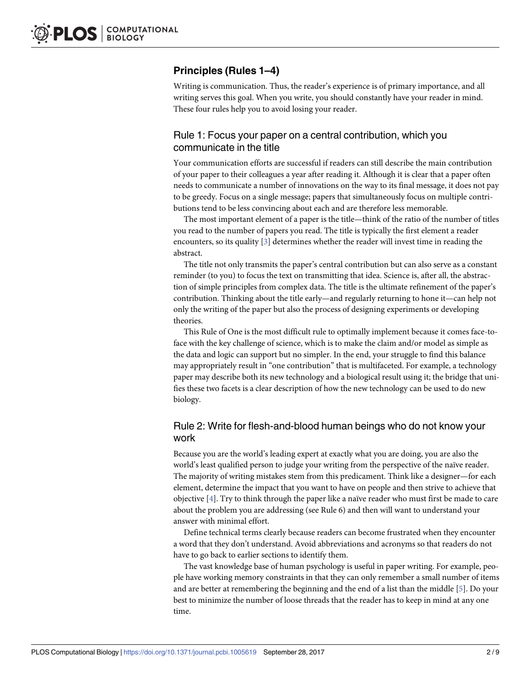# <span id="page-1-0"></span>**Principles (Rules 1–4)**

Writing is communication. Thus, the reader's experience is of primary importance, and all writing serves this goal. When you write, you should constantly have your reader in mind. These four rules help you to avoid losing your reader.

# Rule 1: Focus your paper on a central contribution, which you communicate in the title

Your communication efforts are successful if readers can still describe the main contribution of your paper to their colleagues a year after reading it. Although it is clear that a paper often needs to communicate a number of innovations on the way to its final message, it does not pay to be greedy. Focus on a single message; papers that simultaneously focus on multiple contributions tend to be less convincing about each and are therefore less memorable.

The most important element of a paper is the title—think of the ratio of the number of titles you read to the number of papers you read. The title is typically the first element a reader encounters, so its quality [\[3\]](#page-8-0) determines whether the reader will invest time in reading the abstract.

The title not only transmits the paper's central contribution but can also serve as a constant reminder (to you) to focus the text on transmitting that idea. Science is, after all, the abstraction of simple principles from complex data. The title is the ultimate refinement of the paper's contribution. Thinking about the title early—and regularly returning to hone it—can help not only the writing of the paper but also the process of designing experiments or developing theories.

This Rule of One is the most difficult rule to optimally implement because it comes face-toface with the key challenge of science, which is to make the claim and/or model as simple as the data and logic can support but no simpler. In the end, your struggle to find this balance may appropriately result in "one contribution" that is multifaceted. For example, a technology paper may describe both its new technology and a biological result using it; the bridge that unifies these two facets is a clear description of how the new technology can be used to do new biology.

# Rule 2: Write for flesh-and-blood human beings who do not know your work

Because you are the world's leading expert at exactly what you are doing, you are also the world's least qualified person to judge your writing from the perspective of the naïve reader. The majority of writing mistakes stem from this predicament. Think like a designer—for each element, determine the impact that you want to have on people and then strive to achieve that objective [\[4\]](#page-8-0). Try to think through the paper like a naïve reader who must first be made to care about the problem you are addressing (see Rule 6) and then will want to understand your answer with minimal effort.

Define technical terms clearly because readers can become frustrated when they encounter a word that they don't understand. Avoid abbreviations and acronyms so that readers do not have to go back to earlier sections to identify them.

The vast knowledge base of human psychology is useful in paper writing. For example, people have working memory constraints in that they can only remember a small number of items and are better at remembering the beginning and the end of a list than the middle [\[5\]](#page-8-0). Do your best to minimize the number of loose threads that the reader has to keep in mind at any one time.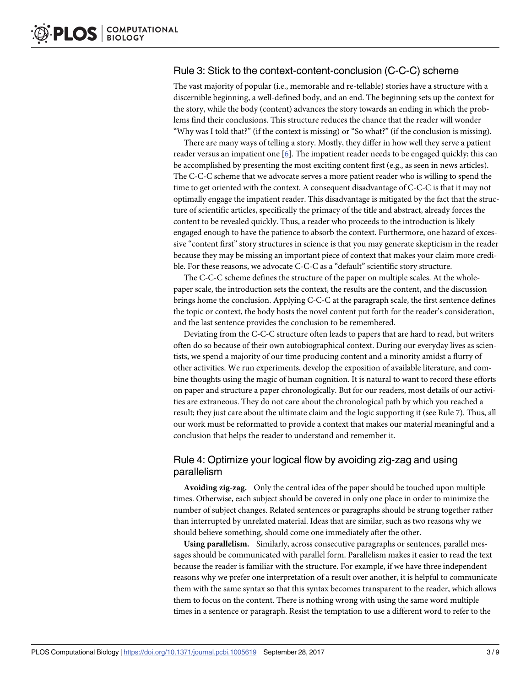# <span id="page-2-0"></span>Rule 3: Stick to the context-content-conclusion (C-C-C) scheme

The vast majority of popular (i.e., memorable and re-tellable) stories have a structure with a discernible beginning, a well-defined body, and an end. The beginning sets up the context for the story, while the body (content) advances the story towards an ending in which the problems find their conclusions. This structure reduces the chance that the reader will wonder "Why was I told that?" (if the context is missing) or "So what?" (if the conclusion is missing).

There are many ways of telling a story. Mostly, they differ in how well they serve a patient reader versus an impatient one [\[6\]](#page-8-0). The impatient reader needs to be engaged quickly; this can be accomplished by presenting the most exciting content first (e.g., as seen in news articles). The C-C-C scheme that we advocate serves a more patient reader who is willing to spend the time to get oriented with the context. A consequent disadvantage of C-C-C is that it may not optimally engage the impatient reader. This disadvantage is mitigated by the fact that the structure of scientific articles, specifically the primacy of the title and abstract, already forces the content to be revealed quickly. Thus, a reader who proceeds to the introduction is likely engaged enough to have the patience to absorb the context. Furthermore, one hazard of excessive "content first" story structures in science is that you may generate skepticism in the reader because they may be missing an important piece of context that makes your claim more credible. For these reasons, we advocate C-C-C as a "default" scientific story structure.

The C-C-C scheme defines the structure of the paper on multiple scales. At the wholepaper scale, the introduction sets the context, the results are the content, and the discussion brings home the conclusion. Applying C-C-C at the paragraph scale, the first sentence defines the topic or context, the body hosts the novel content put forth for the reader's consideration, and the last sentence provides the conclusion to be remembered.

Deviating from the C-C-C structure often leads to papers that are hard to read, but writers often do so because of their own autobiographical context. During our everyday lives as scientists, we spend a majority of our time producing content and a minority amidst a flurry of other activities. We run experiments, develop the exposition of available literature, and combine thoughts using the magic of human cognition. It is natural to want to record these efforts on paper and structure a paper chronologically. But for our readers, most details of our activities are extraneous. They do not care about the chronological path by which you reached a result; they just care about the ultimate claim and the logic supporting it (see Rule 7). Thus, all our work must be reformatted to provide a context that makes our material meaningful and a conclusion that helps the reader to understand and remember it.

# Rule 4: Optimize your logical flow by avoiding zig-zag and using parallelism

**Avoiding zig-zag.** Only the central idea of the paper should be touched upon multiple times. Otherwise, each subject should be covered in only one place in order to minimize the number of subject changes. Related sentences or paragraphs should be strung together rather than interrupted by unrelated material. Ideas that are similar, such as two reasons why we should believe something, should come one immediately after the other.

**Using parallelism.** Similarly, across consecutive paragraphs or sentences, parallel messages should be communicated with parallel form. Parallelism makes it easier to read the text because the reader is familiar with the structure. For example, if we have three independent reasons why we prefer one interpretation of a result over another, it is helpful to communicate them with the same syntax so that this syntax becomes transparent to the reader, which allows them to focus on the content. There is nothing wrong with using the same word multiple times in a sentence or paragraph. Resist the temptation to use a different word to refer to the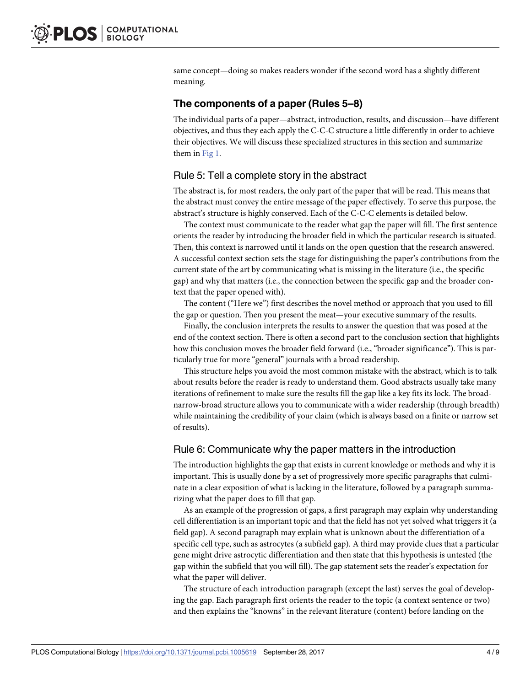<span id="page-3-0"></span>same concept—doing so makes readers wonder if the second word has a slightly different meaning.

#### **The components of a paper (Rules 5–8)**

The individual parts of a paper—abstract, introduction, results, and discussion—have different objectives, and thus they each apply the C-C-C structure a little differently in order to achieve their objectives. We will discuss these specialized structures in this section and summarize them in [Fig](#page-4-0) 1.

#### Rule 5: Tell a complete story in the abstract

The abstract is, for most readers, the only part of the paper that will be read. This means that the abstract must convey the entire message of the paper effectively. To serve this purpose, the abstract's structure is highly conserved. Each of the C-C-C elements is detailed below.

The context must communicate to the reader what gap the paper will fill. The first sentence orients the reader by introducing the broader field in which the particular research is situated. Then, this context is narrowed until it lands on the open question that the research answered. A successful context section sets the stage for distinguishing the paper's contributions from the current state of the art by communicating what is missing in the literature (i.e., the specific gap) and why that matters (i.e., the connection between the specific gap and the broader context that the paper opened with).

The content ("Here we") first describes the novel method or approach that you used to fill the gap or question. Then you present the meat—your executive summary of the results.

Finally, the conclusion interprets the results to answer the question that was posed at the end of the context section. There is often a second part to the conclusion section that highlights how this conclusion moves the broader field forward (i.e., "broader significance"). This is particularly true for more "general" journals with a broad readership.

This structure helps you avoid the most common mistake with the abstract, which is to talk about results before the reader is ready to understand them. Good abstracts usually take many iterations of refinement to make sure the results fill the gap like a key fits its lock. The broadnarrow-broad structure allows you to communicate with a wider readership (through breadth) while maintaining the credibility of your claim (which is always based on a finite or narrow set of results).

#### Rule 6: Communicate why the paper matters in the introduction

The introduction highlights the gap that exists in current knowledge or methods and why it is important. This is usually done by a set of progressively more specific paragraphs that culminate in a clear exposition of what is lacking in the literature, followed by a paragraph summarizing what the paper does to fill that gap.

As an example of the progression of gaps, a first paragraph may explain why understanding cell differentiation is an important topic and that the field has not yet solved what triggers it (a field gap). A second paragraph may explain what is unknown about the differentiation of a specific cell type, such as astrocytes (a subfield gap). A third may provide clues that a particular gene might drive astrocytic differentiation and then state that this hypothesis is untested (the gap within the subfield that you will fill). The gap statement sets the reader's expectation for what the paper will deliver.

The structure of each introduction paragraph (except the last) serves the goal of developing the gap. Each paragraph first orients the reader to the topic (a context sentence or two) and then explains the "knowns" in the relevant literature (content) before landing on the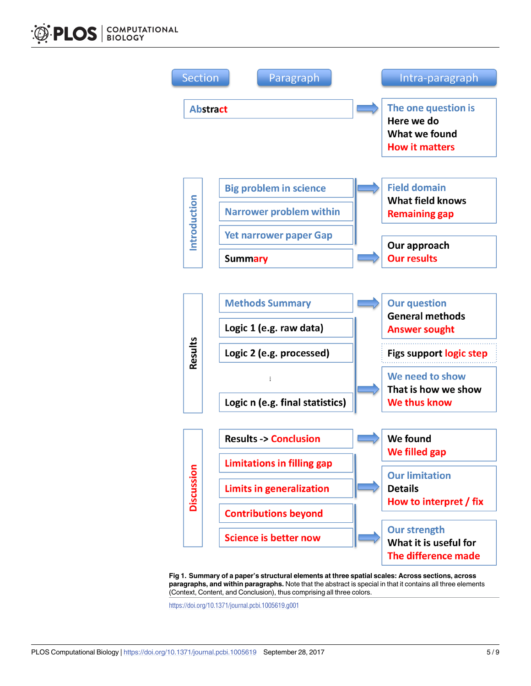<span id="page-4-0"></span>

**[Fig](#page-3-0) 1. Summary of a paper's structural elements at three spatial scales: Across sections, across paragraphs, and within paragraphs.** Note that the abstract is special in that it contains all three elements (Context, Content, and Conclusion), thus comprising all three colors.

<https://doi.org/10.1371/journal.pcbi.1005619.g001>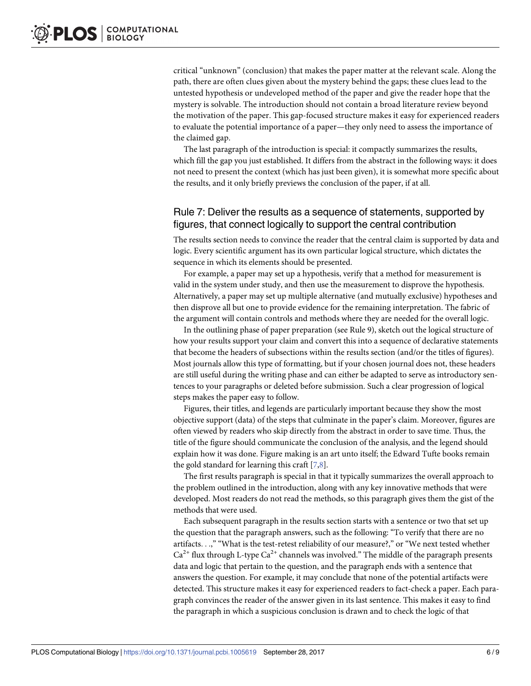<span id="page-5-0"></span>critical "unknown" (conclusion) that makes the paper matter at the relevant scale. Along the path, there are often clues given about the mystery behind the gaps; these clues lead to the untested hypothesis or undeveloped method of the paper and give the reader hope that the mystery is solvable. The introduction should not contain a broad literature review beyond the motivation of the paper. This gap-focused structure makes it easy for experienced readers to evaluate the potential importance of a paper—they only need to assess the importance of the claimed gap.

The last paragraph of the introduction is special: it compactly summarizes the results, which fill the gap you just established. It differs from the abstract in the following ways: it does not need to present the context (which has just been given), it is somewhat more specific about the results, and it only briefly previews the conclusion of the paper, if at all.

# Rule 7: Deliver the results as a sequence of statements, supported by figures, that connect logically to support the central contribution

The results section needs to convince the reader that the central claim is supported by data and logic. Every scientific argument has its own particular logical structure, which dictates the sequence in which its elements should be presented.

For example, a paper may set up a hypothesis, verify that a method for measurement is valid in the system under study, and then use the measurement to disprove the hypothesis. Alternatively, a paper may set up multiple alternative (and mutually exclusive) hypotheses and then disprove all but one to provide evidence for the remaining interpretation. The fabric of the argument will contain controls and methods where they are needed for the overall logic.

In the outlining phase of paper preparation (see Rule 9), sketch out the logical structure of how your results support your claim and convert this into a sequence of declarative statements that become the headers of subsections within the results section (and/or the titles of figures). Most journals allow this type of formatting, but if your chosen journal does not, these headers are still useful during the writing phase and can either be adapted to serve as introductory sentences to your paragraphs or deleted before submission. Such a clear progression of logical steps makes the paper easy to follow.

Figures, their titles, and legends are particularly important because they show the most objective support (data) of the steps that culminate in the paper's claim. Moreover, figures are often viewed by readers who skip directly from the abstract in order to save time. Thus, the title of the figure should communicate the conclusion of the analysis, and the legend should explain how it was done. Figure making is an art unto itself; the Edward Tufte books remain the gold standard for learning this craft [\[7,8\]](#page-8-0).

The first results paragraph is special in that it typically summarizes the overall approach to the problem outlined in the introduction, along with any key innovative methods that were developed. Most readers do not read the methods, so this paragraph gives them the gist of the methods that were used.

Each subsequent paragraph in the results section starts with a sentence or two that set up the question that the paragraph answers, such as the following: "To verify that there are no artifacts. . .," "What is the test-retest reliability of our measure?," or "We next tested whether  $Ca^{2+}$  flux through L-type  $Ca^{2+}$  channels was involved." The middle of the paragraph presents data and logic that pertain to the question, and the paragraph ends with a sentence that answers the question. For example, it may conclude that none of the potential artifacts were detected. This structure makes it easy for experienced readers to fact-check a paper. Each paragraph convinces the reader of the answer given in its last sentence. This makes it easy to find the paragraph in which a suspicious conclusion is drawn and to check the logic of that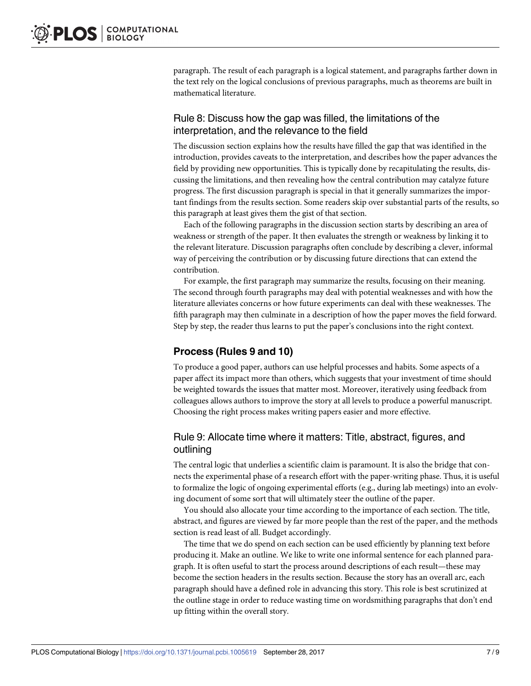paragraph. The result of each paragraph is a logical statement, and paragraphs farther down in the text rely on the logical conclusions of previous paragraphs, much as theorems are built in mathematical literature.

# Rule 8: Discuss how the gap was filled, the limitations of the interpretation, and the relevance to the field

The discussion section explains how the results have filled the gap that was identified in the introduction, provides caveats to the interpretation, and describes how the paper advances the field by providing new opportunities. This is typically done by recapitulating the results, discussing the limitations, and then revealing how the central contribution may catalyze future progress. The first discussion paragraph is special in that it generally summarizes the important findings from the results section. Some readers skip over substantial parts of the results, so this paragraph at least gives them the gist of that section.

Each of the following paragraphs in the discussion section starts by describing an area of weakness or strength of the paper. It then evaluates the strength or weakness by linking it to the relevant literature. Discussion paragraphs often conclude by describing a clever, informal way of perceiving the contribution or by discussing future directions that can extend the contribution.

For example, the first paragraph may summarize the results, focusing on their meaning. The second through fourth paragraphs may deal with potential weaknesses and with how the literature alleviates concerns or how future experiments can deal with these weaknesses. The fifth paragraph may then culminate in a description of how the paper moves the field forward. Step by step, the reader thus learns to put the paper's conclusions into the right context.

# **Process (Rules 9 and 10)**

To produce a good paper, authors can use helpful processes and habits. Some aspects of a paper affect its impact more than others, which suggests that your investment of time should be weighted towards the issues that matter most. Moreover, iteratively using feedback from colleagues allows authors to improve the story at all levels to produce a powerful manuscript. Choosing the right process makes writing papers easier and more effective.

# Rule 9: Allocate time where it matters: Title, abstract, figures, and outlining

The central logic that underlies a scientific claim is paramount. It is also the bridge that connects the experimental phase of a research effort with the paper-writing phase. Thus, it is useful to formalize the logic of ongoing experimental efforts (e.g., during lab meetings) into an evolving document of some sort that will ultimately steer the outline of the paper.

You should also allocate your time according to the importance of each section. The title, abstract, and figures are viewed by far more people than the rest of the paper, and the methods section is read least of all. Budget accordingly.

The time that we do spend on each section can be used efficiently by planning text before producing it. Make an outline. We like to write one informal sentence for each planned paragraph. It is often useful to start the process around descriptions of each result—these may become the section headers in the results section. Because the story has an overall arc, each paragraph should have a defined role in advancing this story. This role is best scrutinized at the outline stage in order to reduce wasting time on wordsmithing paragraphs that don't end up fitting within the overall story.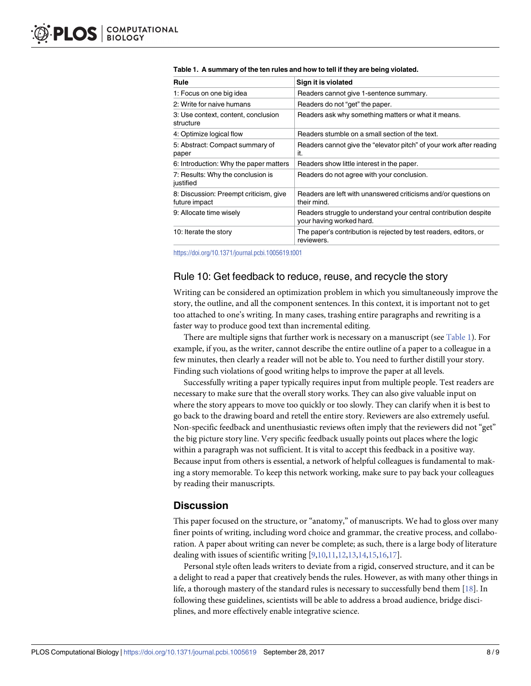| Rule                                                    | Sign it is violated                                                                          |
|---------------------------------------------------------|----------------------------------------------------------------------------------------------|
| 1: Focus on one big idea                                | Readers cannot give 1-sentence summary.                                                      |
| 2: Write for naive humans                               | Readers do not "get" the paper.                                                              |
| 3: Use context, content, conclusion<br>structure        | Readers ask why something matters or what it means.                                          |
| 4: Optimize logical flow                                | Readers stumble on a small section of the text.                                              |
| 5: Abstract: Compact summary of<br>paper                | Readers cannot give the "elevator pitch" of your work after reading<br>it.                   |
| 6: Introduction: Why the paper matters                  | Readers show little interest in the paper.                                                   |
| 7: Results: Why the conclusion is<br>justified          | Readers do not agree with your conclusion.                                                   |
| 8: Discussion: Preempt criticism, give<br>future impact | Readers are left with unanswered criticisms and/or questions on<br>their mind.               |
| 9: Allocate time wisely                                 | Readers struggle to understand your central contribution despite<br>your having worked hard. |
| 10: Iterate the story                                   | The paper's contribution is rejected by test readers, editors, or<br>reviewers.              |

<span id="page-7-0"></span>

<https://doi.org/10.1371/journal.pcbi.1005619.t001>

#### Rule 10: Get feedback to reduce, reuse, and recycle the story

Writing can be considered an optimization problem in which you simultaneously improve the story, the outline, and all the component sentences. In this context, it is important not to get too attached to one's writing. In many cases, trashing entire paragraphs and rewriting is a faster way to produce good text than incremental editing.

There are multiple signs that further work is necessary on a manuscript (see Table 1). For example, if you, as the writer, cannot describe the entire outline of a paper to a colleague in a few minutes, then clearly a reader will not be able to. You need to further distill your story. Finding such violations of good writing helps to improve the paper at all levels.

Successfully writing a paper typically requires input from multiple people. Test readers are necessary to make sure that the overall story works. They can also give valuable input on where the story appears to move too quickly or too slowly. They can clarify when it is best to go back to the drawing board and retell the entire story. Reviewers are also extremely useful. Non-specific feedback and unenthusiastic reviews often imply that the reviewers did not "get" the big picture story line. Very specific feedback usually points out places where the logic within a paragraph was not sufficient. It is vital to accept this feedback in a positive way. Because input from others is essential, a network of helpful colleagues is fundamental to making a story memorable. To keep this network working, make sure to pay back your colleagues by reading their manuscripts.

#### **Discussion**

This paper focused on the structure, or "anatomy," of manuscripts. We had to gloss over many finer points of writing, including word choice and grammar, the creative process, and collaboration. A paper about writing can never be complete; as such, there is a large body of literature dealing with issues of scientific writing [\[9,10,11](#page-8-0),[12,13,14,15](#page-8-0),[16,17\]](#page-8-0).

Personal style often leads writers to deviate from a rigid, conserved structure, and it can be a delight to read a paper that creatively bends the rules. However, as with many other things in life, a thorough mastery of the standard rules is necessary to successfully bend them [\[18\]](#page-8-0). In following these guidelines, scientists will be able to address a broad audience, bridge disciplines, and more effectively enable integrative science.